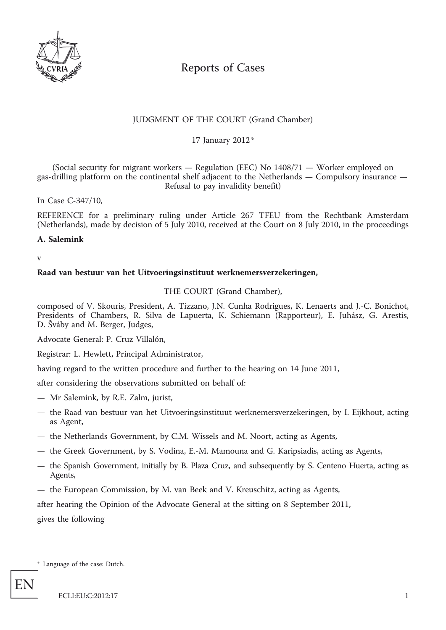

# Reports of Cases

# JUDGMENT OF THE COURT (Grand Chamber)

\* 17 January 2012

(Social security for migrant workers  $-$  Regulation (EEC) No  $1408/71 -$  Worker employed on gas-drilling platform on the continental shelf adjacent to the Netherlands — Compulsory insurance — Refusal to pay invalidity benefit)

In Case C-347/10,

REFERENCE for a preliminary ruling under Article 267 TFEU from the Rechtbank Amsterdam (Netherlands), made by decision of 5 July 2010, received at the Court on 8 July 2010, in the proceedings

### **A. Salemink**

v

### **Raad van bestuur van het Uitvoeringsinstituut werknemersverzekeringen,**

THE COURT (Grand Chamber),

composed of V. Skouris, President, A. Tizzano, J.N. Cunha Rodrigues, K. Lenaerts and J.-C. Bonichot, Presidents of Chambers, R. Silva de Lapuerta, K. Schiemann (Rapporteur), E. Juhász, G. Arestis, D. Šváby and M. Berger, Judges,

Advocate General: P. Cruz Villalón,

Registrar: L. Hewlett, Principal Administrator,

having regard to the written procedure and further to the hearing on 14 June 2011,

after considering the observations submitted on behalf of:

- Mr Salemink, by R.E. Zalm, jurist,
- the Raad van bestuur van het Uitvoeringsinstituut werknemersverzekeringen, by I. Eijkhout, acting as Agent,
- the Netherlands Government, by C.M. Wissels and M. Noort, acting as Agents,
- the Greek Government, by S. Vodina, E.-M. Mamouna and G. Karipsiadis, acting as Agents,
- the Spanish Government, initially by B. Plaza Cruz, and subsequently by S. Centeno Huerta, acting as Agents,
- the European Commission, by M. van Beek and V. Kreuschitz, acting as Agents,

after hearing the Opinion of the Advocate General at the sitting on 8 September 2011,

gives the following

\* Language of the case: Dutch.

EN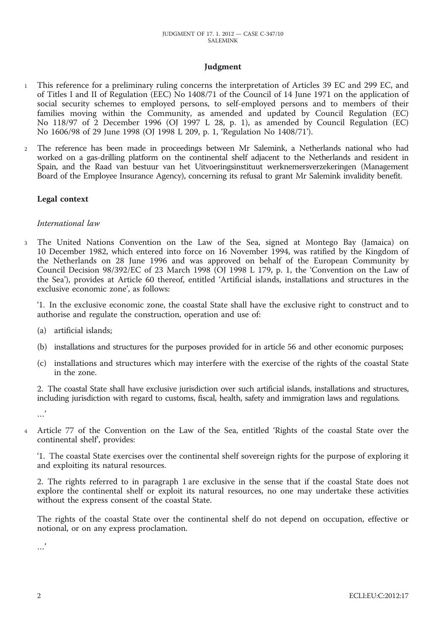## **Judgment**

- 1 This reference for a preliminary ruling concerns the interpretation of Articles 39 EC and 299 EC, and of Titles I and II of Regulation (EEC) No 1408/71 of the Council of 14 June 1971 on the application of social security schemes to employed persons, to self-employed persons and to members of their families moving within the Community, as amended and updated by Council Regulation (EC) No 118/97 of 2 December 1996 (OJ 1997 L 28, p. 1), as amended by Council Regulation (EC) No 1606/98 of 29 June 1998 (OJ 1998 L 209, p. 1, 'Regulation No 1408/71').
- 2 The reference has been made in proceedings between Mr Salemink, a Netherlands national who had worked on a gas-drilling platform on the continental shelf adjacent to the Netherlands and resident in Spain, and the Raad van bestuur van het Uitvoeringsinstituut werknemersverzekeringen (Management Board of the Employee Insurance Agency), concerning its refusal to grant Mr Salemink invalidity benefit.

### **Legal context**

### *International law*

3 The United Nations Convention on the Law of the Sea, signed at Montego Bay (Jamaica) on 10 December 1982, which entered into force on 16 November 1994, was ratified by the Kingdom of the Netherlands on 28 June 1996 and was approved on behalf of the European Community by Council Decision 98/392/EC of 23 March 1998 (OJ 1998 L 179, p. 1, the 'Convention on the Law of the Sea'), provides at Article 60 thereof, entitled 'Artificial islands, installations and structures in the exclusive economic zone', as follows:

'1. In the exclusive economic zone, the coastal State shall have the exclusive right to construct and to authorise and regulate the construction, operation and use of:

- (a) artificial islands;
- (b) installations and structures for the purposes provided for in article 56 and other economic purposes;
- (c) installations and structures which may interfere with the exercise of the rights of the coastal State in the zone.

2. The coastal State shall have exclusive jurisdiction over such artificial islands, installations and structures, including jurisdiction with regard to customs, fiscal, health, safety and immigration laws and regulations.

- …'
- 4 Article 77 of the Convention on the Law of the Sea, entitled 'Rights of the coastal State over the continental shelf', provides:

'1. The coastal State exercises over the continental shelf sovereign rights for the purpose of exploring it and exploiting its natural resources.

2. The rights referred to in paragraph 1 are exclusive in the sense that if the coastal State does not explore the continental shelf or exploit its natural resources, no one may undertake these activities without the express consent of the coastal State.

The rights of the coastal State over the continental shelf do not depend on occupation, effective or notional, or on any express proclamation.

…'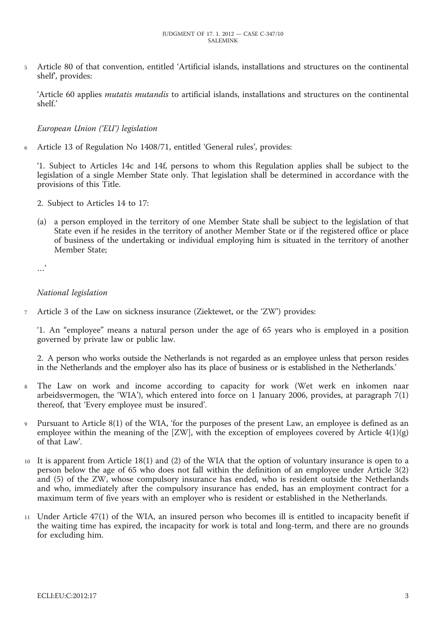5 Article 80 of that convention, entitled 'Artificial islands, installations and structures on the continental shelf', provides:

'Article 60 applies *mutatis mutandis* to artificial islands, installations and structures on the continental shelf.'

# *European Union ('EU') legislation*

6 Article 13 of Regulation No 1408/71, entitled 'General rules', provides:

'1. Subject to Articles 14c and 14f, persons to whom this Regulation applies shall be subject to the legislation of a single Member State only. That legislation shall be determined in accordance with the provisions of this Title.

- 2. Subject to Articles 14 to 17:
- (a) a person employed in the territory of one Member State shall be subject to the legislation of that State even if he resides in the territory of another Member State or if the registered office or place of business of the undertaking or individual employing him is situated in the territory of another Member State;

…'

#### *National legislation*

7 Article 3 of the Law on sickness insurance (Ziektewet, or the 'ZW') provides:

'1. An "employee" means a natural person under the age of 65 years who is employed in a position governed by private law or public law.

2. A person who works outside the Netherlands is not regarded as an employee unless that person resides in the Netherlands and the employer also has its place of business or is established in the Netherlands.'

- 8 The Law on work and income according to capacity for work (Wet werk en inkomen naar arbeidsvermogen, the 'WIA'), which entered into force on 1 January 2006, provides, at paragraph 7(1) thereof, that 'Every employee must be insured'.
- 9 Pursuant to Article 8(1) of the WIA, 'for the purposes of the present Law, an employee is defined as an employee within the meaning of the  $[ZW]$ , with the exception of employees covered by Article  $4(1)(g)$ of that Law'.
- 10 It is apparent from Article 18(1) and (2) of the WIA that the option of voluntary insurance is open to a person below the age of 65 who does not fall within the definition of an employee under Article 3(2) and (5) of the ZW, whose compulsory insurance has ended, who is resident outside the Netherlands and who, immediately after the compulsory insurance has ended, has an employment contract for a maximum term of five years with an employer who is resident or established in the Netherlands.
- 11 Under Article 47(1) of the WIA, an insured person who becomes ill is entitled to incapacity benefit if the waiting time has expired, the incapacity for work is total and long-term, and there are no grounds for excluding him.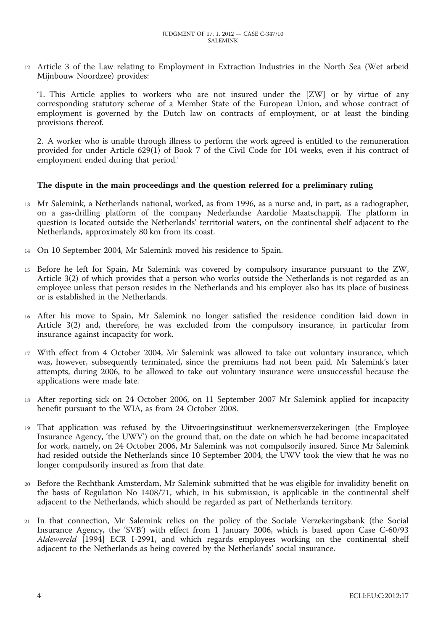12 Article 3 of the Law relating to Employment in Extraction Industries in the North Sea (Wet arbeid Mijnbouw Noordzee) provides:

'1. This Article applies to workers who are not insured under the [ZW] or by virtue of any corresponding statutory scheme of a Member State of the European Union, and whose contract of employment is governed by the Dutch law on contracts of employment, or at least the binding provisions thereof.

2. A worker who is unable through illness to perform the work agreed is entitled to the remuneration provided for under Article 629(1) of Book 7 of the Civil Code for 104 weeks, even if his contract of employment ended during that period.'

#### **The dispute in the main proceedings and the question referred for a preliminary ruling**

- 13 Mr Salemink, a Netherlands national, worked, as from 1996, as a nurse and, in part, as a radiographer, on a gas-drilling platform of the company Nederlandse Aardolie Maatschappij. The platform in question is located outside the Netherlands' territorial waters, on the continental shelf adjacent to the Netherlands, approximately 80 km from its coast.
- 14 On 10 September 2004, Mr Salemink moved his residence to Spain.
- 15 Before he left for Spain, Mr Salemink was covered by compulsory insurance pursuant to the ZW, Article 3(2) of which provides that a person who works outside the Netherlands is not regarded as an employee unless that person resides in the Netherlands and his employer also has its place of business or is established in the Netherlands.
- 16 After his move to Spain, Mr Salemink no longer satisfied the residence condition laid down in Article 3(2) and, therefore, he was excluded from the compulsory insurance, in particular from insurance against incapacity for work.
- 17 With effect from 4 October 2004, Mr Salemink was allowed to take out voluntary insurance, which was, however, subsequently terminated, since the premiums had not been paid. Mr Salemink's later attempts, during 2006, to be allowed to take out voluntary insurance were unsuccessful because the applications were made late.
- 18 After reporting sick on 24 October 2006, on 11 September 2007 Mr Salemink applied for incapacity benefit pursuant to the WIA, as from 24 October 2008.
- 19 That application was refused by the Uitvoeringsinstituut werknemersverzekeringen (the Employee Insurance Agency, 'the UWV') on the ground that, on the date on which he had become incapacitated for work, namely, on 24 October 2006, Mr Salemink was not compulsorily insured. Since Mr Salemink had resided outside the Netherlands since 10 September 2004, the UWV took the view that he was no longer compulsorily insured as from that date.
- 20 Before the Rechtbank Amsterdam, Mr Salemink submitted that he was eligible for invalidity benefit on the basis of Regulation No 1408/71, which, in his submission, is applicable in the continental shelf adjacent to the Netherlands, which should be regarded as part of Netherlands territory.
- 21 In that connection, Mr Salemink relies on the policy of the Sociale Verzekeringsbank (the Social Insurance Agency, the 'SVB') with effect from 1 January 2006, which is based upon Case C-60/93 *Aldewereld* [1994] ECR I-2991, and which regards employees working on the continental shelf adjacent to the Netherlands as being covered by the Netherlands' social insurance.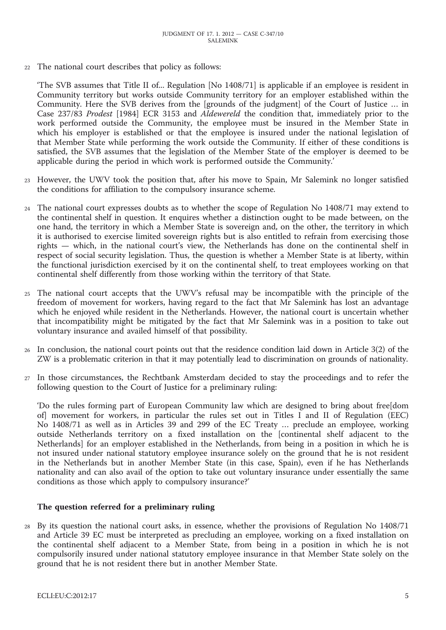22 The national court describes that policy as follows:

'The SVB assumes that Title II of... Regulation [No 1408/71] is applicable if an employee is resident in Community territory but works outside Community territory for an employer established within the Community. Here the SVB derives from the [grounds of the judgment] of the Court of Justice … in Case 237/83 *Prodest* [1984] ECR 3153 and *Aldewereld* the condition that, immediately prior to the work performed outside the Community, the employee must be insured in the Member State in which his employer is established or that the employee is insured under the national legislation of that Member State while performing the work outside the Community. If either of these conditions is satisfied, the SVB assumes that the legislation of the Member State of the employer is deemed to be applicable during the period in which work is performed outside the Community.'

- 23 However, the UWV took the position that, after his move to Spain, Mr Salemink no longer satisfied the conditions for affiliation to the compulsory insurance scheme.
- 24 The national court expresses doubts as to whether the scope of Regulation No 1408/71 may extend to the continental shelf in question. It enquires whether a distinction ought to be made between, on the one hand, the territory in which a Member State is sovereign and, on the other, the territory in which it is authorised to exercise limited sovereign rights but is also entitled to refrain from exercising those rights — which, in the national court's view, the Netherlands has done on the continental shelf in respect of social security legislation. Thus, the question is whether a Member State is at liberty, within the functional jurisdiction exercised by it on the continental shelf, to treat employees working on that continental shelf differently from those working within the territory of that State.
- 25 The national court accepts that the UWV's refusal may be incompatible with the principle of the freedom of movement for workers, having regard to the fact that Mr Salemink has lost an advantage which he enjoyed while resident in the Netherlands. However, the national court is uncertain whether that incompatibility might be mitigated by the fact that Mr Salemink was in a position to take out voluntary insurance and availed himself of that possibility.
- 26 In conclusion, the national court points out that the residence condition laid down in Article 3(2) of the ZW is a problematic criterion in that it may potentially lead to discrimination on grounds of nationality.
- 27 In those circumstances, the Rechtbank Amsterdam decided to stay the proceedings and to refer the following question to the Court of Justice for a preliminary ruling:

'Do the rules forming part of European Community law which are designed to bring about free[dom of] movement for workers, in particular the rules set out in Titles I and II of Regulation (EEC) No 1408/71 as well as in Articles 39 and 299 of the EC Treaty … preclude an employee, working outside Netherlands territory on a fixed installation on the [continental shelf adjacent to the Netherlands] for an employer established in the Netherlands, from being in a position in which he is not insured under national statutory employee insurance solely on the ground that he is not resident in the Netherlands but in another Member State (in this case, Spain), even if he has Netherlands nationality and can also avail of the option to take out voluntary insurance under essentially the same conditions as those which apply to compulsory insurance?'

#### **The question referred for a preliminary ruling**

28 By its question the national court asks, in essence, whether the provisions of Regulation No 1408/71 and Article 39 EC must be interpreted as precluding an employee, working on a fixed installation on the continental shelf adjacent to a Member State, from being in a position in which he is not compulsorily insured under national statutory employee insurance in that Member State solely on the ground that he is not resident there but in another Member State.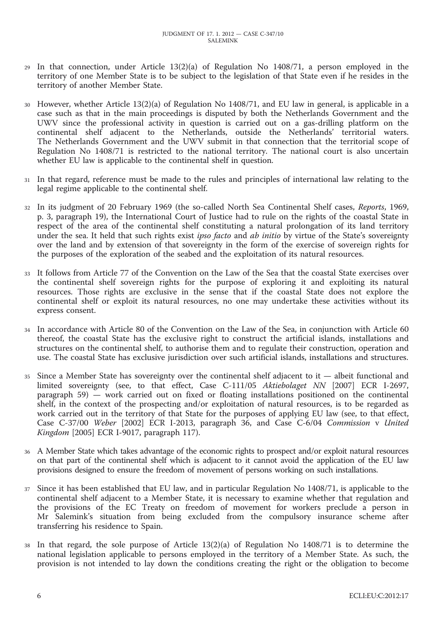- 29 In that connection, under Article 13(2)(a) of Regulation No 1408/71, a person employed in the territory of one Member State is to be subject to the legislation of that State even if he resides in the territory of another Member State.
- 30 However, whether Article 13(2)(a) of Regulation No 1408/71, and EU law in general, is applicable in a case such as that in the main proceedings is disputed by both the Netherlands Government and the UWV since the professional activity in question is carried out on a gas-drilling platform on the continental shelf adjacent to the Netherlands, outside the Netherlands' territorial waters. The Netherlands Government and the UWV submit in that connection that the territorial scope of Regulation No 1408/71 is restricted to the national territory. The national court is also uncertain whether EU law is applicable to the continental shelf in question.
- 31 In that regard, reference must be made to the rules and principles of international law relating to the legal regime applicable to the continental shelf.
- 32 In its judgment of 20 February 1969 (the so-called North Sea Continental Shelf cases, *Reports*, 1969, p. 3, paragraph 19), the International Court of Justice had to rule on the rights of the coastal State in respect of the area of the continental shelf constituting a natural prolongation of its land territory under the sea. It held that such rights exist *ipso facto* and *ab initio* by virtue of the State's sovereignty over the land and by extension of that sovereignty in the form of the exercise of sovereign rights for the purposes of the exploration of the seabed and the exploitation of its natural resources.
- 33 It follows from Article 77 of the Convention on the Law of the Sea that the coastal State exercises over the continental shelf sovereign rights for the purpose of exploring it and exploiting its natural resources. Those rights are exclusive in the sense that if the coastal State does not explore the continental shelf or exploit its natural resources, no one may undertake these activities without its express consent.
- In accordance with Article 80 of the Convention on the Law of the Sea, in conjunction with Article 60 thereof, the coastal State has the exclusive right to construct the artificial islands, installations and structures on the continental shelf, to authorise them and to regulate their construction, operation and use. The coastal State has exclusive jurisdiction over such artificial islands, installations and structures.
- 35 Since a Member State has sovereignty over the continental shelf adjacent to it albeit functional and limited sovereignty (see, to that effect, Case C-111/05 *Aktiebolaget NN* [2007] ECR I-2697, paragraph 59) — work carried out on fixed or floating installations positioned on the continental shelf, in the context of the prospecting and/or exploitation of natural resources, is to be regarded as work carried out in the territory of that State for the purposes of applying EU law (see, to that effect, Case C-37/00 *Weber* [2002] ECR I-2013, paragraph 36, and Case C-6/04 *Commission* v *United Kingdom* [2005] ECR I-9017, paragraph 117).
- 36 A Member State which takes advantage of the economic rights to prospect and/or exploit natural resources on that part of the continental shelf which is adjacent to it cannot avoid the application of the EU law provisions designed to ensure the freedom of movement of persons working on such installations.
- 37 Since it has been established that EU law, and in particular Regulation No 1408/71, is applicable to the continental shelf adjacent to a Member State, it is necessary to examine whether that regulation and the provisions of the EC Treaty on freedom of movement for workers preclude a person in Mr Salemink's situation from being excluded from the compulsory insurance scheme after transferring his residence to Spain.
- 38 In that regard, the sole purpose of Article 13(2)(a) of Regulation No 1408/71 is to determine the national legislation applicable to persons employed in the territory of a Member State. As such, the provision is not intended to lay down the conditions creating the right or the obligation to become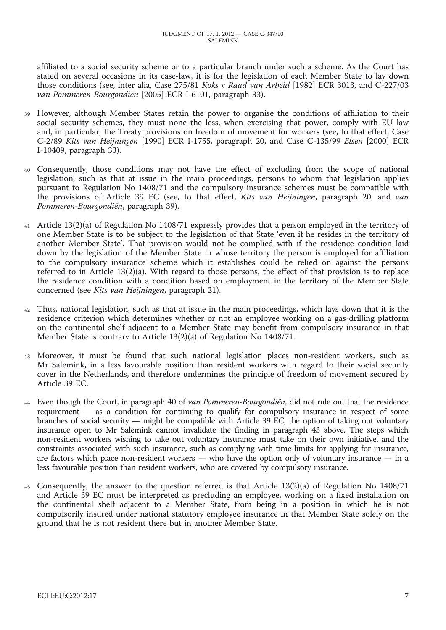affiliated to a social security scheme or to a particular branch under such a scheme. As the Court has stated on several occasions in its case-law, it is for the legislation of each Member State to lay down those conditions (see, inter alia, Case 275/81 *Koks* v *Raad van Arbeid* [1982] ECR 3013, and C-227/03 *van Pommeren-Bourgondiën* [2005] ECR I-6101, paragraph 33).

- 39 However, although Member States retain the power to organise the conditions of affiliation to their social security schemes, they must none the less, when exercising that power, comply with EU law and, in particular, the Treaty provisions on freedom of movement for workers (see, to that effect, Case C-2/89 *Kits van Heijningen* [1990] ECR I-1755, paragraph 20, and Case C-135/99 *Elsen* [2000] ECR I-10409, paragraph 33).
- 40 Consequently, those conditions may not have the effect of excluding from the scope of national legislation, such as that at issue in the main proceedings, persons to whom that legislation applies pursuant to Regulation No 1408/71 and the compulsory insurance schemes must be compatible with the provisions of Article 39 EC (see, to that effect, *Kits van Heijningen*, paragraph 20, and *van Pommeren-Bourgondiën*, paragraph 39).
- 41 Article 13(2)(a) of Regulation No 1408/71 expressly provides that a person employed in the territory of one Member State is to be subject to the legislation of that State 'even if he resides in the territory of another Member State'. That provision would not be complied with if the residence condition laid down by the legislation of the Member State in whose territory the person is employed for affiliation to the compulsory insurance scheme which it establishes could be relied on against the persons referred to in Article 13(2)(a). With regard to those persons, the effect of that provision is to replace the residence condition with a condition based on employment in the territory of the Member State concerned (see *Kits van Heijningen*, paragraph 21).
- 42 Thus, national legislation, such as that at issue in the main proceedings, which lays down that it is the residence criterion which determines whether or not an employee working on a gas-drilling platform on the continental shelf adjacent to a Member State may benefit from compulsory insurance in that Member State is contrary to Article 13(2)(a) of Regulation No 1408/71.
- 43 Moreover, it must be found that such national legislation places non-resident workers, such as Mr Salemink, in a less favourable position than resident workers with regard to their social security cover in the Netherlands, and therefore undermines the principle of freedom of movement secured by Article 39 EC.
- 44 Even though the Court, in paragraph 40 of *van Pommeren-Bourgondiën*, did not rule out that the residence requirement — as a condition for continuing to qualify for compulsory insurance in respect of some branches of social security — might be compatible with Article 39 EC, the option of taking out voluntary insurance open to Mr Salemink cannot invalidate the finding in paragraph 43 above. The steps which non-resident workers wishing to take out voluntary insurance must take on their own initiative, and the constraints associated with such insurance, such as complying with time-limits for applying for insurance, are factors which place non-resident workers — who have the option only of voluntary insurance — in a less favourable position than resident workers, who are covered by compulsory insurance.
- 45 Consequently, the answer to the question referred is that Article 13(2)(a) of Regulation No 1408/71 and Article 39 EC must be interpreted as precluding an employee, working on a fixed installation on the continental shelf adjacent to a Member State, from being in a position in which he is not compulsorily insured under national statutory employee insurance in that Member State solely on the ground that he is not resident there but in another Member State.